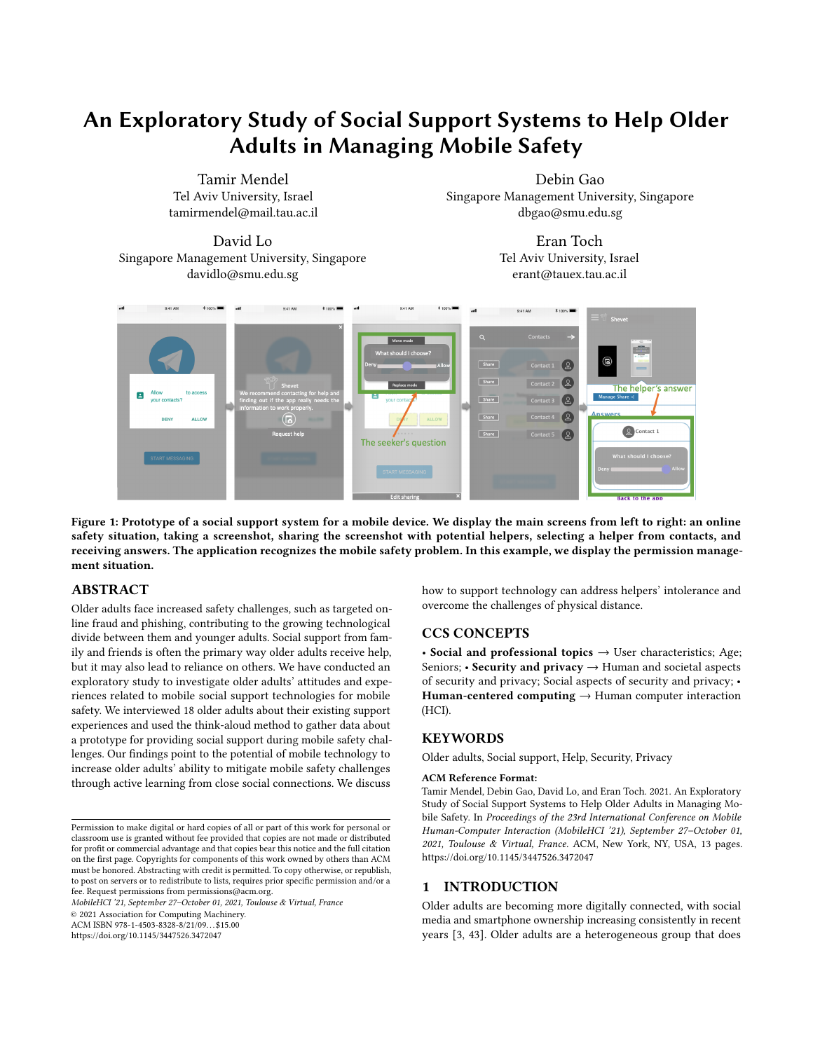# An Exploratory Study of Social Support Systems to Help Older Adults in Managing Mobile Safety

Tamir Mendel Tel Aviv University, Israel tamirmendel@mail.tau.ac.il

David Lo Singapore Management University, Singapore davidlo@smu.edu.sg

Debin Gao Singapore Management University, Singapore dbgao@smu.edu.sg

> Eran Toch Tel Aviv University, Israel erant@tauex.tau.ac.il

<span id="page-0-0"></span>

Figure 1: Prototype of a social support system for a mobile device. We display the main screens from left to right: an online safety situation, taking a screenshot, sharing the screenshot with potential helpers, selecting a helper from contacts, and receiving answers. The application recognizes the mobile safety problem. In this example, we display the permission management situation.

## ABSTRACT

Older adults face increased safety challenges, such as targeted online fraud and phishing, contributing to the growing technological divide between them and younger adults. Social support from family and friends is often the primary way older adults receive help, but it may also lead to reliance on others. We have conducted an exploratory study to investigate older adults' attitudes and experiences related to mobile social support technologies for mobile safety. We interviewed 18 older adults about their existing support experiences and used the think-aloud method to gather data about a prototype for providing social support during mobile safety challenges. Our findings point to the potential of mobile technology to increase older adults' ability to mitigate mobile safety challenges through active learning from close social connections. We discuss

MobileHCI '21, September 27–October 01, 2021, Toulouse & Virtual, France

© 2021 Association for Computing Machinery.

ACM ISBN 978-1-4503-8328-8/21/09. . . \$15.00

<https://doi.org/10.1145/3447526.3472047>

how to support technology can address helpers' intolerance and overcome the challenges of physical distance.

## CCS CONCEPTS

• Social and professional topics  $\rightarrow$  User characteristics; Age; Seniors; • Security and privacy → Human and societal aspects of security and privacy; Social aspects of security and privacy; • Human-centered computing  $\rightarrow$  Human computer interaction (HCI).

## **KEYWORDS**

Older adults, Social support, Help, Security, Privacy

### ACM Reference Format:

Tamir Mendel, Debin Gao, David Lo, and Eran Toch. 2021. An Exploratory Study of Social Support Systems to Help Older Adults in Managing Mobile Safety. In Proceedings of the 23rd International Conference on Mobile Human-Computer Interaction (MobileHCI '21), September 27–October 01, 2021, Toulouse & Virtual, France. ACM, New York, NY, USA, [13](#page-12-0) pages. <https://doi.org/10.1145/3447526.3472047>

## 1 INTRODUCTION

Older adults are becoming more digitally connected, with social media and smartphone ownership increasing consistently in recent years [3, [43\]](#page-11-0). Older adults are a heterogeneous group that does

Permission to make digital or hard copies of all or part of this work for personal or classroom use is granted without fee provided that copies are not made or distributed for profit or commercial advantage and that copies bear this notice and the full citation on the first page. Copyrights for components of this work owned by others than ACM must be honored. Abstracting with credit is permitted. To copy otherwise, or republish, to post on servers or to redistribute to lists, requires prior specific permission and/or a fee. Request permissions from permissions@acm.org.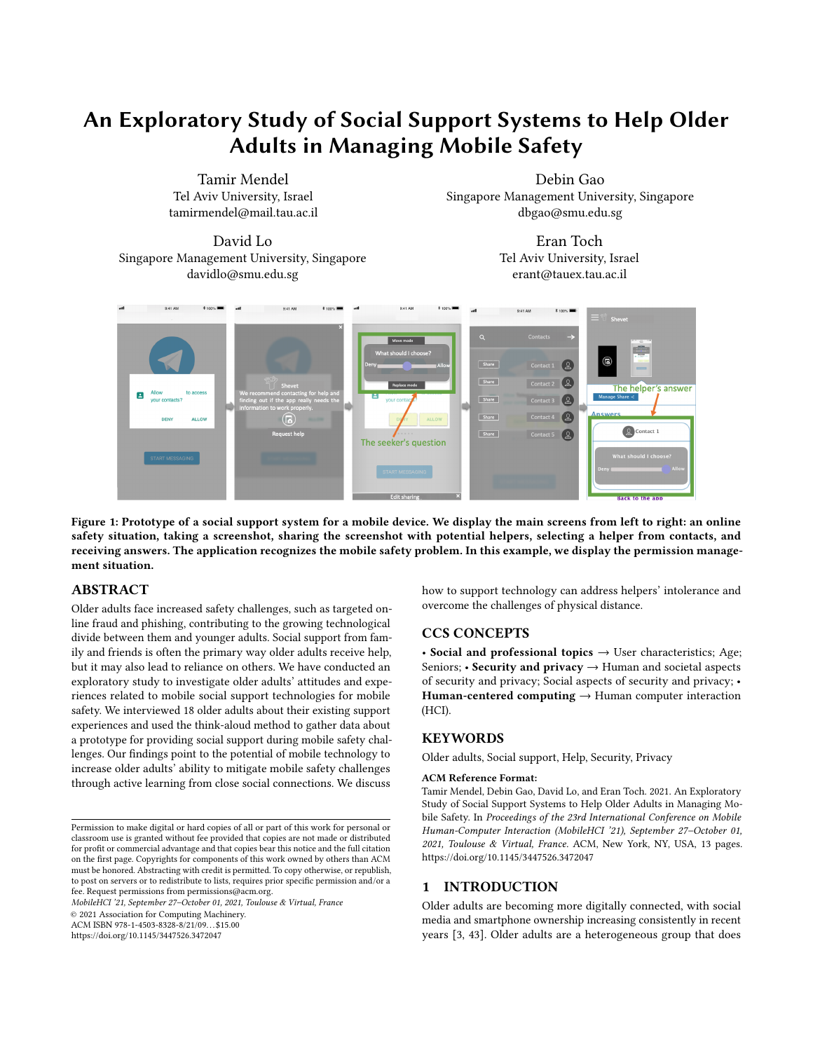not conform to the myth of being technology-advers<sup>80</sup>. For example, the smartphone ownership rate among people aged 50 or environment.

older from 2015 to 2018 rose from 53% to 67% in the United States [\[43\]](#page-11-0). Simultaneously, the online safety threats that older adults face are more challenging than those faced by younger adults. They are more likely to be targeted by online fraudsters: over half (53%) have reported being targeted by online fraud [and phone fraud 48]. Older adults valued privacy as an essential part of interacting with online services and other  $$6, 39$ . They also exhibit more negative attitudes toward the risks involved in using new technologies [ [30,](#page-11-1) [31\]](#page-11-4). As a result, older adults may considerably reduce their technology use  $7,8,14,16,30$ , including using online technologies such as social networking 31] and mobile health 20. In turn, lower adoption rates of mobile technology can lead to increased social isolation. Recently, the COVID-19 outbreak at the end of 2019 has created additional challenges. It has led to increased social adults' preferences, using explanations for learning, and helping isolation and directed older adults' social and work lives to online platforms [\[38\]](#page-11-5). This problem is not limited to today's cohort of older adults. With the acceleration of technologies and increases in are as follows: life expectancy, technological challenges may become more severe.

Older adults regularly seek online advice about online safety from the people surrounding them, and they often prefer to rely on their friends, family, and media for suppor  $B_1$  41. People exhibit a relatively high willingness to assist their older relatives with online security and privacy, especially if they know their preferences [\[29\]](#page-11-8). Wan et al. found that older adults achieve more accurate and secure decisions when receiving online support through a mobile application from children or grandchildren; however, older adults did not acquire security-related knowledge or learn from delegate decisions  $44$ . Hunsaker et al. reported that older adults might have low satisfaction with general technical support from family because of the complicated process of receiving help and the lack of immediacy and availability [8]. These contradictory results point to the gap in understanding the possible consequences of social support in mobile safety. Social support may lead to learned helplessness 42, in which older adults feel an absence of control over their decisions and perceive an inability to use digital technology independently  $|14|$ . In contrast, a possible positive outcome could be active learning and developing empowerment and con dence in controlling online safety challenges, similar to how older adults learn computer programming [15] and carry out crowd work [5].

This paper examines social support through semi-structured interviews with 18 older adults who regularly use a smartphone. We interviewed the participants with online safety scenarios that included permission settings and password management and asked tion of older adults' inability to use digital technology [5]. Older them to recall other social support experiences. Then, we used the think-aloud method to gather feedback on a mobile social support application prototype. The prototype allows them to capture a safety situation screen, share it with potential helpers, select a helper, and then receive and process answers (see [Fig](#page-0-0)ure 1). Wethey could not handle the challenge themselves [18]. qualitatively analyze the interviews and focus on several key questions: How do older adults characterize social support for online safety? Who do they turn to for social support? What are the possible consequences of social support when family members and professionals, work colleagues, friends, and family friendts B3 friends provide help? How should social support systems be de- 41]. A recent survey has shown that younger people are willing signed to lead to more positive outcomes? The prototype evaluated to assist their older relatives with mobile security and privacy how older adults captured supportable moments and reacted to more than they currently do 29. Wan et al. presented a mobile

di erent simulated explanations and suggestions from their social

Our results point to the potential of social support technologies to aid older adults in mobile safety. While our study population was more educated and more tech-savvy than the average older adult, we show that social support can bridge technology language barriers and has the potential to help older adults become less dependent on others. It can also stimulate intergenerational conversations that allow older adults to generate discussion and sometimes to question existing technological norms that they deem problematic. Simultaneously, support technology can also lead to feelings of helplessness when encountering experiences that include intolerance by helpers and challenges in communicating problems and solutions due to physical distance. Our ndings illustrate several design opportunities for social support technology, including adherence to older older adults work at their own pace and according to their own cognitive abilities. In summary, the main contributions of this paper

- 1. We examine older adults' attitudes towards mobile social support technologies for online safety and documenting their past actions following mobile support interactions.
- 2. We analyze how social support technologies can contribute to either empowerment or helplessness.
- 3. We evaluate a prototype for social support technologies that allow older adults to engage in support interaction with their social connections.

## 2 RELATED WORK

The study we present in this paper aims to ll a gap in three elds: 1) social support for mobile technologies that aim to help older adults, 2) online safety in communities, and 3) contextual help.

## 2.1 Social Support for Older Adults

Intergenerational support is essential for adopting, using, and learning to use technology 13, 32. Older adults regularly seek informal support from family and friends because it is convenient, comfortable, free of charge, and trustworth\8M. Some older adults reported low levels of satisfaction with social support when it was unavailable or if help was too complicated . Additional challenges may stem from discrimination against older adults. Ageism can contribute to a reduction in technological self-ecacy among older adults through the internalization of society's negative percepadults may also avoid technology because of the burden it puts on their families [36]. Interacting with technology is also not a binary state. While many older adult users expressed comfort in solving computer problems independently, they still sought support when

Social support from friends and family can potentially help in ensuring a safer online experience. Studies have shown that older adults seek advice from various sources, including online sources,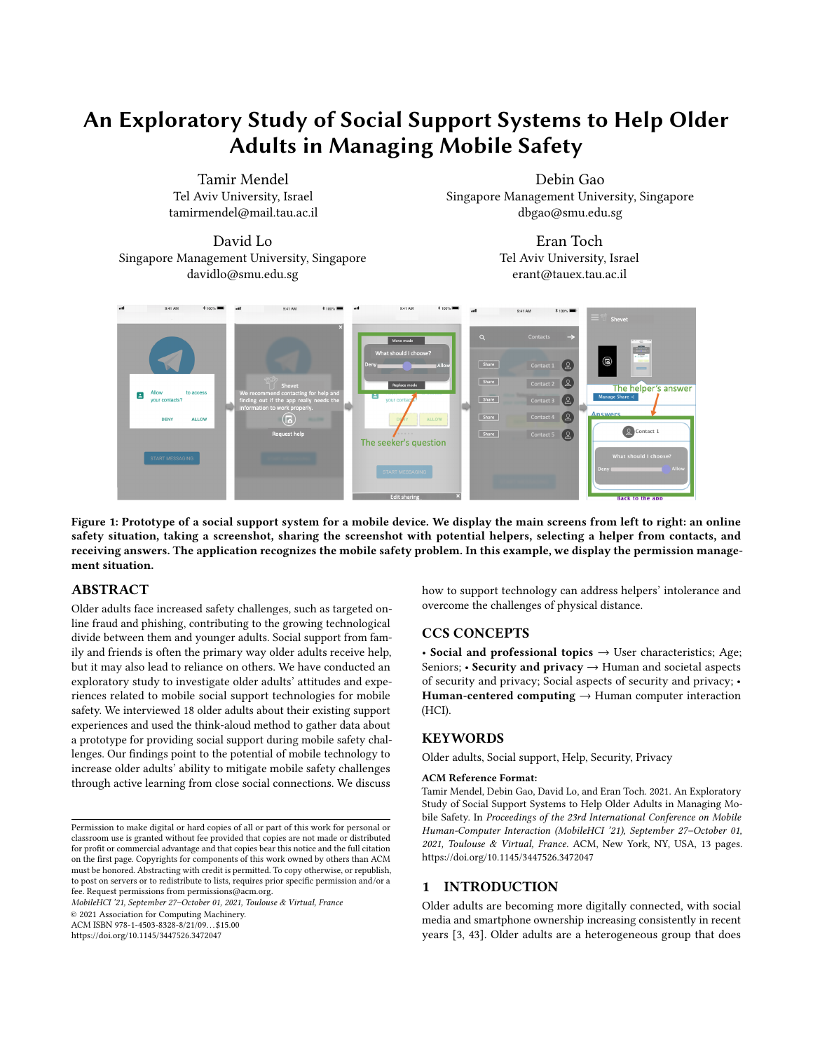application that allowed older adults to delegate security decisions to younger family members, showing that they made safer decisions in this way. However, older adults neither acquire security-related knowledge nor learn from delegate decision [44]. Therefore, it is still necessary to investigate how older adults learn through social support processes.

Social support may lead to learned helplessness, [in which older adults feel an absence of control over their decisions and perceive an inability to use digital technology independently. It is necessary to examine whether social support technologies can reduce some of the barriers and negative externalities. To our knowledge, no prior work has attempted to bridge the intersection of social support technologies and older adults. Therefore, we aim to investigate the characteristics of a social support system that matches older adults' expectations and encourages empowerment.

## 2.2 Community Approaches to Online Safety

Several recent human-computer interaction studies have explored community approaches to security and privacy, such as social in uence  $[12, 28]$  and social support  $[2, 9, 22, 27, 44, 46]$ . Das et al. found that close social members may in uence users to adopt similar security behaviors and have conversations about security features [12]. Mendel and Toch have shown that social ties in uence users' susceptibility to adopt security and privacy behaviors than formal sources 28. Watson et al. examined how social groups (e.g., friends, family, or roommates) share digital resources, showing that social oversight practices lead to safer decisions [ Aljallad et al. evaluated a prototype that helps users collaborate with people they know to decide application permissions. Trust in the helper was particularly important, as participants wanted an unbiased opinion they could rely on [2]. Chouhan et al. explored a community oversight for users to interact with people they trust to help one another make digital privacy and security decisions. They discovered that participants were willing to provide lightweight passive assistance to their family and friends about online privacy and security decisions. Still, they did not see themselves doing this dally [These studies evaluated tools for community oversight but did not assess designs in which older adults actively seek and receive technical support sessions. We investigate how to reduce some of the barriers towards support and to assess their negative externalities so that social support technologies will empower older adults to use digital technology independently.

The e ects of community support on older adults' self-e cacy are not straightforward. Kropczynski et al. demonstrated that older adults usually interact with people who have low technological self-e cacy. Therefore, enabling connections between older adults and people with above-average technical expertise may increase to interact with their social networks. Our three main questions older adults' community collective e cacy for security and privacy [22]. As young adults exhibit a high willingness to assist their older relatives with online security and privacy  $\frac{29}{9}$ , a promising path to social support can be through families and close-knit social groups. However, it is still unclear how e ective mobile applications can deliver social support and its consequences.

## 2.3 Contextual Support

Contextual help supports users by showing instructions and highlighting the tangible interface they interact with rather than in a

separate viewer. The existing literature assessed tutorials created by experts rather than by community members. For example, stencil tutorials use sticky notes on the graphical user interface, providing necessary tutorial material in the applicatio $\alpha$  [ ]. Graphstract implemented a graphical help system presenting multiple small graphic elements with screenshot **\$7**. Yeh et al. developed a tool that allowed designers to generate contextual help tutorials by writing a simple script and taking screenshots. EverTutor generated interactive tutorials on a smartphone and showed that contextual help tutorials are particularly well suited for older users when older participants had equal or faster completion times using interactive tutorials than younger participants 45. However, previous studies did not investigate these tools on how technology can work with social support.

Learning mobile safety from close social circles can be more signi cant than learning from developers and designers. First, most research on contextual help focuses on tutorials generated by designers or developers [7, 21, 45, 47], but people are more trusted than organizations in the context of privacy and securited. Older adults may be more trusting of close social ties with mobile security and privacy. For example, when an application requests permission that is not legitimate, the user should not trust the developer and designer of the application. Second, social help may encourage actual conversations with a family member about security features, which are key enablers of a socially-driven behavioral change and essential for online safety learning [2]. Third, older adults prioritize social resources based on availability rather than cybersecurity expertise (e.g., developers and designers), and they may avoid using the internet for cybersecurity information  $33$ . Therefore, contextual help from social connections shows a high potential to teach and help older adults with mobile safety issues.

## 2.4 Research Questions

Our main objective is to understand how mobile applications can help reduce the barriers to helping older adults through social support by families and close-knit communities. Older adults can be empowered and meaningfully engaged when learning new skills, such as computer programming  $[5]$ , crowd work  $[5]$ , and blog writing [ 6]. Leung et al. demonstrated that older adults strongly preferred to learn from manuals rather than from trial-and-error. Yet, older adults have problems using the instruction manual because of poorly written, unfamiliar terminology, and di erences between the manual's image and what is shown on the device screen [24]. Therefore, our goal was to examine older adults' attitudes towards social support mobile applications that rely on friends and family. We evaluated a prototype for older adults that allows them are the following:

- 1. What are older adults' attitudes towards mobile social support systems for mobile safety situations?
- 2. What are the reactions of older adults to past mobile support interactions?
- 3. What are the design con gurations of social support systems that older adults prefer to receive mobile safety help?

We wanted to understand how to create mobile social support systems based on older adults' needs, attitudes, and concerns.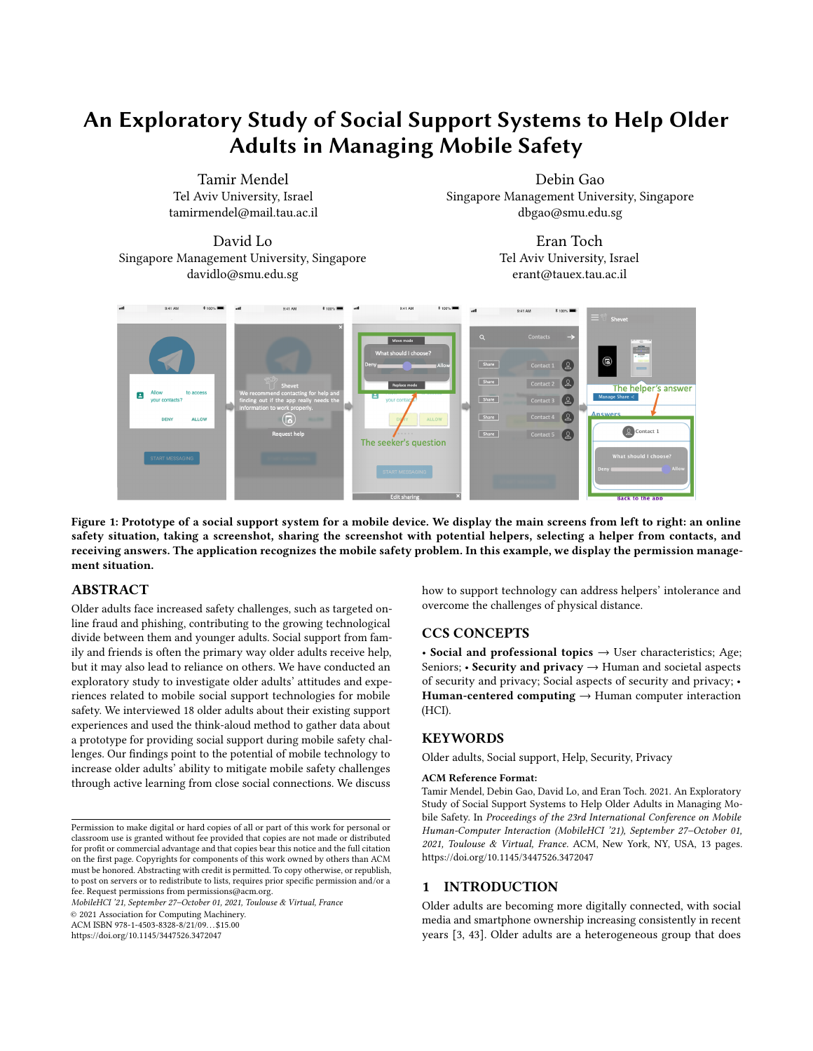| Prototype<br><b>Interaction Name</b> | Description                                                                    | Explanation | Suggestion | Examples                                                                                                                      |
|--------------------------------------|--------------------------------------------------------------------------------|-------------|------------|-------------------------------------------------------------------------------------------------------------------------------|
| Long Explanation                     | Contain a long<br>explanation for making<br>privacy and security<br>decisions. | Yes         | <b>No</b>  | Pros and cons to allowing or deny<br>permission.<br>Ensure a strong password using a checklist.                               |
| Advice                               | Present the nal<br>solution without<br>explanation.                            | No          | Yes        | Present a suggestion to allow or deny<br>permission.<br>Present a suggestion that the link is safe or<br>not safe (phishing). |
| Validation                           | Present whether the<br>seeker's decision is<br>correct or incorrect.           | No.         | Yes        | Present whether the password is strong or<br>weak.                                                                            |
| <b>Short Explanation</b>             | Present the nal<br>solution with a short<br>explanation.                       | Yes         | Yes        | Present a suggestion that the link is safe or<br>not safe with a short explanation (phishing).                                |

#### Table 1: Prototype support interactions

## 3 PROTOTYPE IMPLEMENTATION

The purpose of our prototype is to assess various support interactions with a mobile application. Speci cally, we wanted to understand the role of di erent types of explanations and suggestions. 4.1 Participants The prototype allows users to capture a screenshot (in interaction such as permission management, password input, a suspicious phishing message), sharing with potential helpers and writing a question, selecting a helper from contacts, then receiving an answer (see Figure 1). We used Sketch software to link dierent screens to create our prototype, and then we ran our prototype in a mobile browser.

We implemented four di erent support interactions in the prototype, combining explanations and whether the suggestion was presented to the user (the total permutations of the support interactions are explained in Table 1). The explanation allows older adults to request the helper explanation of how to address the mobile safety situations. The suggestion grants older adults to ask the helper to present the nal mobile safety decision. The support interaction designs of advice and validation contain the suggestion without explanation, and the support interaction designs of the long explanation and short explanation contain explanations. As we described earlier, older adults neither acquire security-related knowledge nor learn from the process of social delegate security decisions  $#4$ . To investigate how older adults react to explanations through social support processes, we design the prototype support interactions by combining two aspects: 1) contain an explanation or not, and 2) whether it contains a suggestion. We evaluate the prototype support interactions based on an explanation and suggestion to understand how older adults prefer to receive their social support answers. Based on that combination, we implemented the four di erent prototype support interactions.

## 4 STUDY DESIGN

We conducted a study with older adults to understand how social support systems should be designed to aid older adults during mobile safety situations and what opportunities are available in

social support processes. Our study received ethics approval from the Institutional Review Board (IRB).

We recruited 18 participants through yers, bulletin boards, and word of mouth around the university campus. We stated in recruitment materials that we were looking for people aged 60 and above who owned a smartphone to participate in an approximately 90 minute interview. Many pensioners regularly visit the university as exam supervisors or as students. Most of our older adult sample is semiretired, which may provide them with a wide range of social connections, such as friends, coworkers, and family. Participants had to regularly use smartphones, as they needed basic technical knowledge to interact with our prototype. This sample is correlated with the general population in Israel because 80% of Israelis aged 50 or older in 2018 own a smartphore [8]. Also, most of our older adults in our sample are semiretired, which may provide them with a wide range of social connections, such as friends, coworkers, and family. Participants were rewarded with \$14 at the end of the interview.

Participants' ages ranged from 63 to 83 years, with an average of 71 years. A total of eight participants identi ed as female and ten as male. All participants owned and used a smartphone, which they reported having between one and ten years, with an average of 6.4 years, consistent with older adult smartphone use. The number of years of education ranged from 11 to 18 years (average of 13.8 years), which correlated with the OECD report that 46% of Israel's population ages 25-65 had attained tertiary education [35]. All our participants were living independently and reported having adult children. The participants mentioned at least three applications they used with their smartphone (except for one participant who said only one application), such as Facebook, Instagram, Waze, Chrome, WhatsApp, Gmail, bus, train, and shopping. Fourteen participants worked as exam supervisors, three worked at the university in administrative positions, and one retired. Most participants reported that coworkers and family members regularly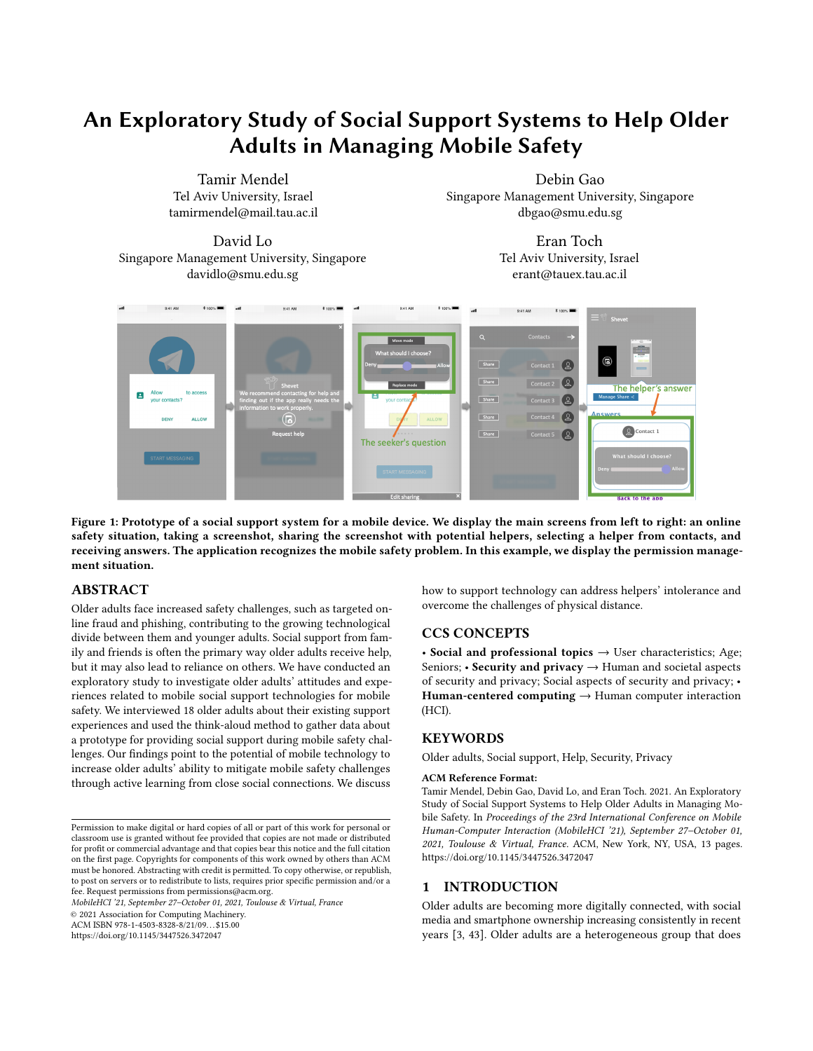helped them. Two participants obtained an IT-related degree (P8 & P12).

## 4.2 Study Structure

We conducted semi-structured interviews with 18 older adults to understand their needs, attitudes, and concerns regarding the use of social support for mobile safety situations. Interviews were conducted in person in our lab at the university, and we audio-recorded and took notes to summarize the interviews. The study had two main phases: semi-structured interviews about social support scenarios and a prototype evaluation.

4.2.1 Social Support Scenarios Interviewsstarted by collecting background information and asked about demographic and technical aptitude. Then, we tested the reaction to scenarios and focused on understanding participants' responses to two scenarios of everyday security and privacy situations. We used printed papers of mobile user interfaces to visualize the scenarios as conversation starters and as a way to highlight important parts of the interaction. We showed the participants two scenarios: the permission management scenario and the password management scenario (the paper scenarios are presented in Appendix A).

In the scenarios section, we wanted to understand the participants' perceptions and thoughts about social support in mobile safety, including what they would do if they needed help and how they would seek help (interview questions are presented in Appendix A). We started the reaction to scenario interviews with the permission management scenario, and then we repeated the process with the password management scenario with the same questions. In the permission management scenario, participants were asked to grant the application access to the contact list. In the password input scenario, participants were asked to select a password.

4.2.2 Prototype Evaluation. The second part of the user study is the prototype evaluation. Our goal was to understand how participants react to di erent support interactions. Our eighteen participants performed six tasks using the prototype (see Figure 2 for a visualization of all the tasks). We have asked participants to request help with a safety scenario and to receive a support request. Each 5.1.1 Expectations of Social Supp**Wte** requested the participants task was characterized by the support designs (explanation and and phishing message). We used di erent prototype support interthe prototype support interactions based on three primary considerations: 1) contains an explanation or not, 2) includes a suggestion or not, and 3) provides operational support to the scenario.

We presented the scenarios in the following order: permission Each scenario includes support interactions with explanation and without explanation (all support interactions are de ned in Table 1). In the permission management scenario, we rst displayed support interactions with a lengthy explanation and then advice. In the password input scenario, we showed support interactions of a long explanation and then validation. Finally, in the phishing scenario, we displayed support interactions of advice and then a short explanation.

We used the "think aloud" method to understand the participants' mental models of the system, asking them to verbalize their thoughts as they stepped through the user interfaces. We also asked participants to report the preferred designs for each scenario, and they could prefer multiple designs in dierent scenarios, so the results are not mutually exclusive.

## 4.3 Qualitative Analysis

We collected four types of data from the sessions: 1) audio recordings, 2) transcriptions of the interviews, 3) physical design artifacts, and 4) prototype usability performance. We analyzed our data using thematic analysis, which included ve stages: familiarization, initial codes, searching for themes, reviewing themes, de ning, and naming themes, and interpretatioß4. The transcripts were read iteratively by the rst author to initially code the data to nd similarities and di erences across participants. Through frequent meetings with a second researcher, we explored the data for categories and central themes. We assigned each participant a unique identi er used to present our results to maintain the participants' con dentiality. For quotes, we refer to each participant by  $P# (P)$ followed by a number). The interviews were conducted in Hebrew and then translated into English. The translation process was executed with two research team members working on the data that ensured agreement on the translation.

## 5 RESULTS

## 5.1 Attitudes towards Social Support **Experiences**

Generally, our participants showed a positive attitude toward social support. Thirteen participants reported regularly receiving some form of social support. Five participants pointed to speci c examples when they learned and became pro cient in using social support. Four participants said that support should always be available for them in any application. Overall, these statements point to an interest in social support. In the following two subsections, we show older adults' expectations and helper selections in social support.

suggestion) and scenario (permission management, password input, The question should have represented their expectations of social actions containing explanations, suggestions, or both. We selected from social support questions. We categorized the expectations into in each scenario to come up with a question about the scenario. support interactions. We coded the expectations of our participants four main categories:

management, password input, and then phishing message scenario.scenario, one participant asked, "Is this application dangerous? Can Advice: Expectations for a recommendation on how to make a particular online safety decision. We coded six out of 36 questions with advice requests. For example, in the permission management it have viruses?" (P8). This expectation is tied to a relatively narrow conversation, which revolves around providing security advice in a speci c context. Therefore, the advice category is more focused and thinner than other categories, and exchange is limited.

> Guide: Expectations for instructions on how to solve a speci c online safety situation. We categorized 12 out of 36 questions as guidance requests. For example, P16 had asked for instruction about permission management: "How to nd the contacts list?" (P5). This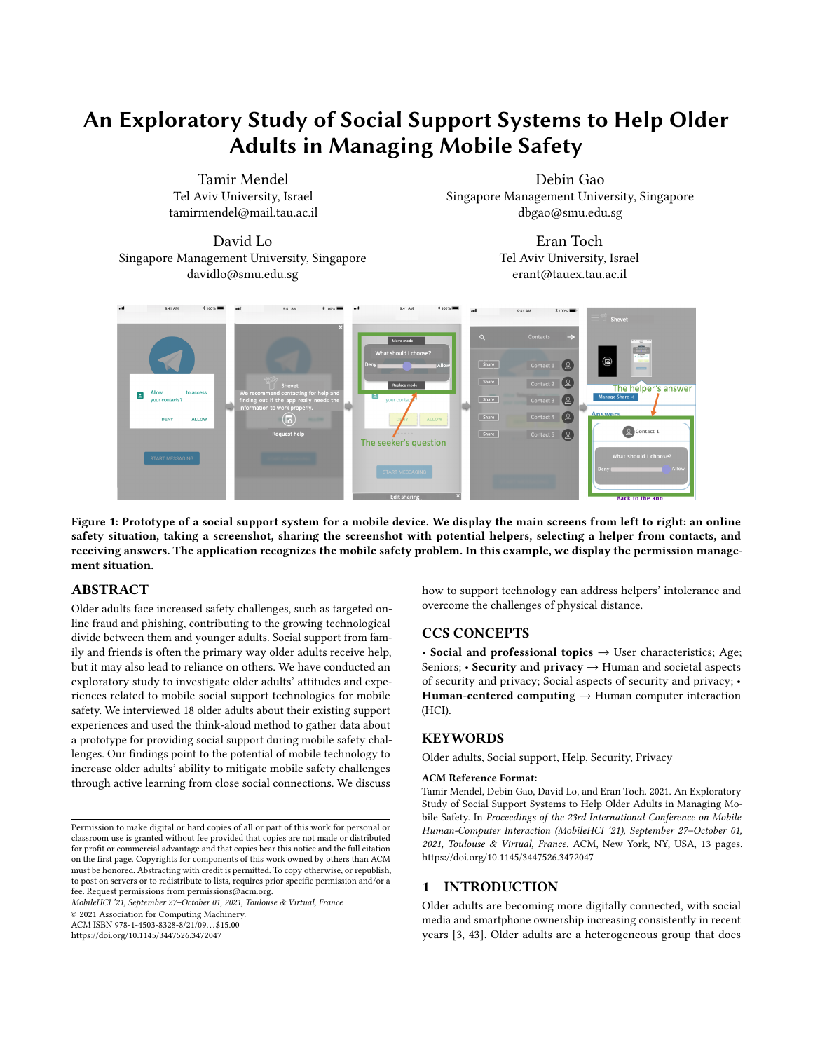MobileHCI '21, September 27 October 01, 2021, Toulouse & Virtual, France Tamir Mendel et al. Tamir Mendel et al.

Figure 2: The prototype interaction designs of the seeker questions and helper answers. Each task characterizes by a scenario (permission management, password input, and phishing), and each scenario includes support interactions with explanation and without explanation.

expectation leads to relatively narrow conversations that focus on guiding older adults toward a particular outcome. Practically, the main di erence between advice and guidance is the number of advice, and guide support involves more than one screen.

screens that the helper needs to support; one screen is used for tunity to learn about online safety. For instance, P8 had requested Explanation: Expectations for explanations about how to solve the online safety situation. We coded 10 out of 36 questions as asking for explanations. Explanation requests may create an opporinformation about password management: "Why is my password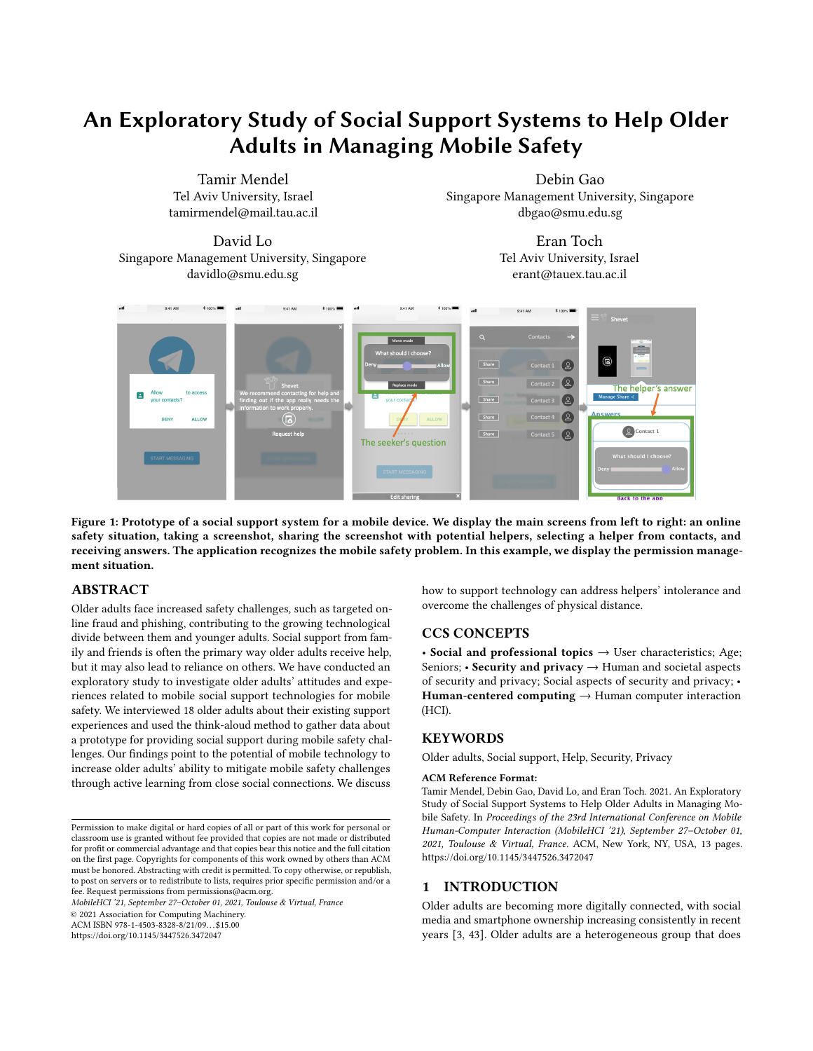which includes explanations and reasoning of online safety.

Motivation: Expectations for explanations about the bene ts involved in some behavior, such as providing private information for engaging an application. For example, the participant had tried to understand whether they truly needed the application: "At the end of the process, what does it give me? What is the purpose? "(P7). We coded eight out of 36 questions with motivation requests. This expectation mostly leads to opportunities to start a broader conversation about online safety.

Participants described questions about security and privacy situations. Das et al.12 noted that conversations about security features were a key enabler of a socially-driven behavioral change. Both broad and narrow conversations are essential for online safety learning.

5.1.2 Helpers Selection Se asked participants to point out the people they would choose to ask for help and explain their selection. Nine participants preferred to ask for support from their children. They reported trust and felt comfortable asking their children for support in online safety situations. For example, one participant described how she trusts her son with technical issues: "I trust my son with technology and know he can answer my questions, feel comfortable asking him, if busy he will call back" (P9).

Three participants mentioned support from their friends. They noted that their friends should understand smartphones: "People who know and understand smartphones. People that are experts in it (P6)". Four participants reported that they asked professionals for support. When participants did not choose a close family as helpers, they looked for people who had relevant expertise or were physically nearby. For example, P10 mentioned that she asked ran- to solve the problem, they could start a conversation about how dom people who were physically near her; in this case, she received free support but exposed her private information to strangers.

Anyone who [physically] is close to me. Someone who can help that is close to me physically... No problem to ask strangers that can explain. Why not approach them? (P10)

Overall, our participants considered four factors when selecting helpers: trust, comfort, expertise, and physical closeness. With close social connections, e.g., family members, participants felt con dent and comfortable, even if they were not necessarily experts. Most participants trusted and felt comfortable asking for help from their children.

## 5.2 Characteristics of Social Support

We found di erent social support characteristics that are associated with empowerment and helplessness. We analyzed social support characteristics when we asked participants about the reaction to the scenarios. We describe these results next.

5.2.1 Empowerment by Social Suppoort. observed that social support interactions led older adults to feel empowered and report on meaningful engagement.

Intergenerational conversations: Social support provided opportunities for intergenerational discussions among older adults

disquali ed?" and the helper could start a deeper conversation about and younger adults. These conversations allowed the older genpassword selection. This expectation involves a broader discussion, erations to question and sometimes address technological norms deemed problematic. Speci cally, six participants were interested in understanding the tradeo s between the clear bene ts of the application and the costs of adopting new technology. In many cases, embracing new technology is directly related to retaining social ties, which can be easily communicated through social support. For example, a grandmother did not understand why she had to use WhatsApp, and her daughter helped her share with her granddaughter:

> My daughter arranged for me to install WhatsApp. I did not understand why it was convenient. No way I would have asked for it [because] I can call. My daughter insisted, and I agreed with her in the end. Then, I could talk with my granddaughter abroad (P14).

When participants described social support experiences, the experience often included an opportunity to talk more broadly about mobile safety. For example, one participant reported that he asked his social circle about mobile permissions:

I began to ask friends, kids, grandchildren, and other family members, should I allow this permission [accessing contact list]? Did you hear about this? Did you know about this? (P17).

Social support provides the opportunity to share broader information about online safety. Conversations about security are a vital enabler of positive security behavior, for example, when people discuss security concerns with family and friends to determine the reasons for safer behavior  $\mathfrak A$ . Participants noted that they asked their friends and family, so even if they did not know how safety practices could address various threats.

Learning in social support: Several participants showed interest in being less dependent on others by learning to use the technology through social support. One participant generalized about the con dence other people provide when encountering new technology:

The technology is new to me, something we have not encountered before, so it is good to hear details about it. For every application, I think that I need help... A person who does not always know well; someone needs to guide and teach. (P13)

The participant ties the ability to be independent in a continually changing world by having a social support network that can facilitate learning. Participants expressed a willingness to understand and learn from the helper. For example, P9 said that she asked her son to explain how to operate the smartphone, and now she can use the smartphone by herself. Another participant had written instructions based on her guidance to know what to do when her daughter was not around (P10).

Reaching technological independence: Some of our participants also seek social support to gain technological independence rather than rely on others. For example, one participant demonstrated her approach toward social support as the rst step of an escalating hierarchy of support venues: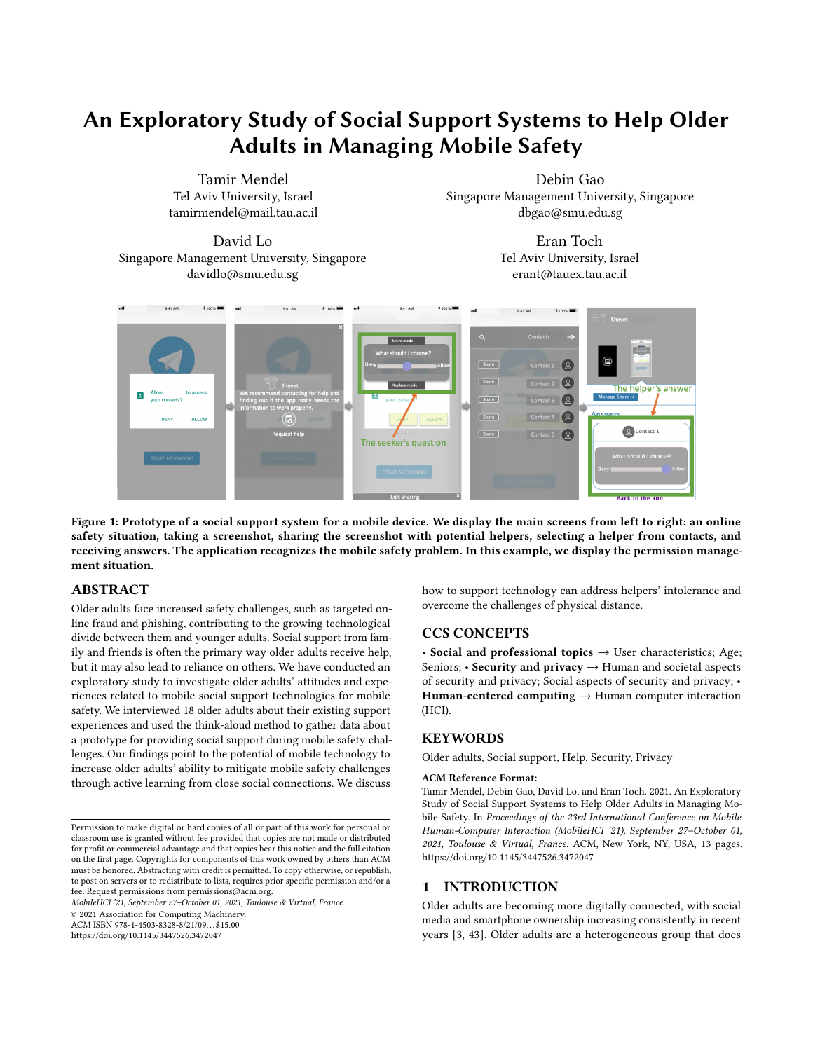I asked for help with WhatsApp from a friend who knows about this technology more than I do. I talked to him on the phone, and he told me what to do, and I tried several times until I succeeded. If the problem continues, then I would contact the seller at the store and ask questions. I am not afraid to get help from people, and I am not scared to try. (P6)

The discussions between helpers and older adults touch on the types of barriers to technology adoption. The belief of older adults in learning and being independent is central to social support processes. For example, one participant noted that her daughter tried to teach her how to use the bank application, but because of the barrier of using technology and fear of being helpless; she preferred to go to the bank:

I like to go to the bank twice a month. It suits me. My daughter says that you can download the application and not have to go to the bank. I do not want to. There is some barrier from not knowing whether I will not know how to operate or whether it is complicated. You need to make a switch in your head "you know it can help you, it is friendly." (P10)

Support in understandable language: Another barrier is related to intelligible languages. For example, one participant requested help without "tech language": "There are concepts that I do not always understand in a computer language that I do not speak every day. I ask for help when I do not know" (P18). As many digital services were only available in English, relying on friends and family to translate text was common. While most of our participants were able to understand English, they were not always comfortable with it. For example, one participant described that the problem was the language, and he waited for his daughter to translate: "The problem is in English, which I understand less. Afraid to click and to use the system:, I wait for my daughter to translate" (P4). Overall, participants are motivated to be independent and learn from their social supporters, who know their preferences and technical capabilities.

5.2.2 Helplessness Associated with Social Support most of our participants reported positive experiences related to social support, several reported feeling helpless due to a negative social support experience. We found that intolerance and physical distance are two leading social support challenges that cause older adults to feel helpless in mobile safety.

Intolerance : Two participants reported incidents in which helpers had little patience in assisting them. One participant described the gap between older adults and younger generations:

Some people do not have the patience to explain: "You do not understand, we have already shown you once how to do it on Facebook." Today, the younger generation has no patience "Leave it, mother, you will not understand. We have already shown you." (P13)

As a result of these interactions, this participant felt less comfortable requesting support from her children. Participants connected the helper's impatience with their limitations. Four participants reported frustrating cognitive limitations such as impaired memory and forgetfulness, and slow speed of comprehension. P9 explained the helpers to complete.

that they learn technologies slowly, and it took them time to understand. P14 had to see how to solve the problem several times before she understood. Another participant said that she forgot what was explained to her after two days (P18). These sorts of negative experiences have led participants to act more independently. One participant (P10) explained that the helper's negative attitude gave her the motivation for technology independence by requesting support with explanations to learn and address the issue next time by herself:

When I had a problem, [my daughter said] "Mom, you do not understand." [I said to her] "So please explain it to me." While she is showing and explaining, I am writing. So, when my daughter is not next to me, I will know what to do. (P10)

When the helpers had only a little patience in assisting the seekers, the seekers want to become less dependent on their helpers as much as possible in the future.

Physical distance: Four participants had di culties explaining their problems and understanding the helpers when participants were not physically close to the helper. For example, one participant described barriers to understanding her son because they were not close to each other:

My son wants to help and has no patience, he thinks fast, and he does not understand that I am not next to him. He tried to help with my smartphone so I would call my granddaughter, and he started asking me questions about passwords, and we could not contact the granddaughter abroad at the end. (P14)

## 5.3 Social Support Systems Design

We examined how older adults think that a mobile application can aid social support processes. We asked participants to design the question and the answer screens regarding the two scenarios presented with the permission management and password management scenarios.

We asked participants to describe how they preferred to ask for support. Most participants chose to send over support requests using screenshots of the screens they had trouble with (9 out of 18). Eight participants preferred to add text to the screenshot to explain the problem, and one had suggested assistance with video. Overall, participants preferred to request and receive mobile support with a combination of screenshots and text.

We asked participants to draw the location of the question and the answer on the printed paper scenarios (i.e., the permission management scenario and password management scenario). They wrote the question on the printed paper scenarios either near the decision they needed to make on the screen or at the bottom of the screen (see Appendix B for examples). P3 and P6 drew reactions of a smiley face or a sad face to express their feelings. P7 and P12 wrote their password on the screen to ask what was wrong. Three participants drew an arrow pointing to the element in the screen they wanted to highlight (P11, P12, P15). One participant drew a lock with a question mark to represent a security problem (P1). Participants expected the answer to be next to the question, usually beneath the question. For example, one participant drew stages for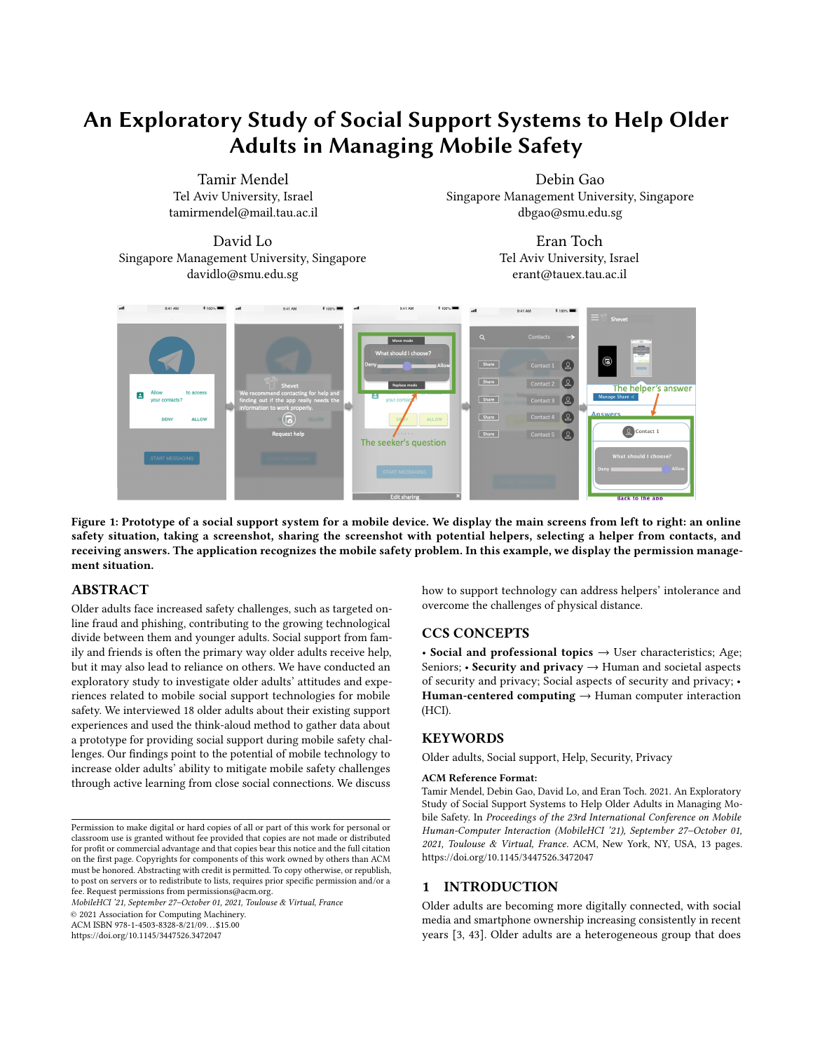When we asked participants about how they asked for help without the mobile application, we found that eight participants asked for help by calling the helper. Some participants preferred to use different methods than calling the helper. For example, one participant someone to show her how to take a screenshot on her smartphone: "I will ask the question on the phone. I do not know how to take a screenshot, and I do not know how to send it. Someone needs to explain to me how to do it. A screenshot is better than typing" (P6). Our participants' main challenge when they are not nearby one another is to coordinate between visual and voice modalities. They face di culties aligning their experience on their phone (primarily visual) and the modalities of communicating with their social circle (which is mainly through voice). Therefore, getting help through text, images, or videos is inconvenient, and they prefer to talk on the phone, which makes it challenging to explain the problem. A social support system may use advanced methods to help older another participant mentioned that the long explanation "explains adults describe their mobile situations.

Overall, participants preferred to send support requests using screenshots annotated with text to explain the problem. They preferred the question placed either near the decision they had to make or at the bottom of the screen. Some used doodling to draw various reactions (smiley face or a sad face), arrows, and icon of a lock.

## 5.4 Interacting with the Prototype

To understand how social support systems can lead to potential positive outcomes, we investigate older adults' reactions to social support system designs. Our eighteen older adult participants exeall tasks).

We compared support interactions with explanation and without explanation for each scenario. In the permission management scenario, 7 out of 18 preferred social support without explanation (advice design) compares to ten participants who have preferred explanation (long explanation design). In the password input scenario, 10 out of 18 participants preferred social support without explanation (validation design) compared to eight who preferred explanation (long explanation design). Finally, in the phishing message scenario, only one participant has preferred the social support suggestion without explanation (advice design), and 14 participants have preferred social support suggestion with the explanation (short explanation design). In most cases, we found that participants pre-general public and not to programmers." (P7) ferred support interactions with explanation rather than without an explanation (32 out of 54 instances). To further analyze the results, we used the participants' feedback gathered by the think-aloud method. We present the feedback comparing between explanations This paper provides qualitative evidence for how social support may and without explanations designs. As described the following:

Without explanation: Participants found the advice design clear and straightforward. For example, one participant explained that advice about privacy permission included the absolute solution: "[Advice] is more suitable for those who are hesitant" (P11). P1 described that it is essential to remove uncertainty, which may remain "without the nal answer" (comparing to long explanation design). Explanations to describe the reasons for the suggestion are sign of social support systems and embedding them in existing important. For example, in the phishing advice, participants have asked, "Why is the link unsafe?" (P9) and "Why?" (P17).

said that she wants to send a screenshot. Nevertheless, she needæxplanation when selecting a password, such as "a lowercase letter Participants described the validation design as easy to understand, yet they pointed that explanation was missing. For example, P8 explained that the password validation is short, but it can explain what went wrong accurately. He recommended adding an is missing." Explanations are required to describe the reasons for the decision. For example, participants' reactions to the password validations were "Why say no?" (P4) or "Why did he reject it? Need to say why rejected?" (P2). Therefore, we observed that explanations are essential to describe the suggestion.

cuted six requesting and receiving social support (see Figure 2 for 18 participants preferred to have a short explanation design. We With explanation: We displayed two types of social support design that use explanations: long explanation and short explanation. The long explanation design helps participants to learn how to solve the mobile safety situation. For example, one participant expressed the desire to be independent in the future and to know how to select a password: "Next time I will know what to do" (P10), and very well what needs to be done:" (P7). In contrast, one participant found that the explanations about the privacy permission were redundant. For instance, P5 said, "fewer stories and confusions because the suggestion did not include in this design. Several participants requested the short explanation design, which presented the suggestions with an explanation. For example, one participant was interested in learning how to react to the scenario and becoming independent: "We need an explanation I will understand it better. Once there is an explanation, I try to think; otherwise, I am working as an automaton" (P6). Another participant described that "the combination of explanations below the nal solution wins. The description below clari es the situation" (P7). Fourteen out of observed that most of our participants were interested in learning from the mobile safety situation, and therefore explanations with suggestions were preferred.

> Overall, most participants thought that the application was straightforward and reported that they would be happy to use the application (12 out of 18); the average score for "I will use this support system" was 5.26 (the standard error was 1.79; the range was 1 to 7). Participants mentioned that they recommended the application to friends (11 out of 18); the average score was 4.94 (the standard error was 2.19; the range was 1 to 7). One participant reported that "I think the system is good, friendly, and speaks to the user. The system simpli es and clari es things. It speaks to the

## 6 DISCUSSION

allow older adults to become more pro cient with mobile security and privacy. We document "support pathways" that demonstrate how older adults can become more con dent in using technology through social support and when they know that social support can be available to them. Previous studies have pointed to the limitations of social support for older adults  $[8]$  and di culty to learn from social  $[44]$ . Our analysis points to the importance of the derelationships. We found that most participants reported trust and comfort in receiving some form of social support, mainly from their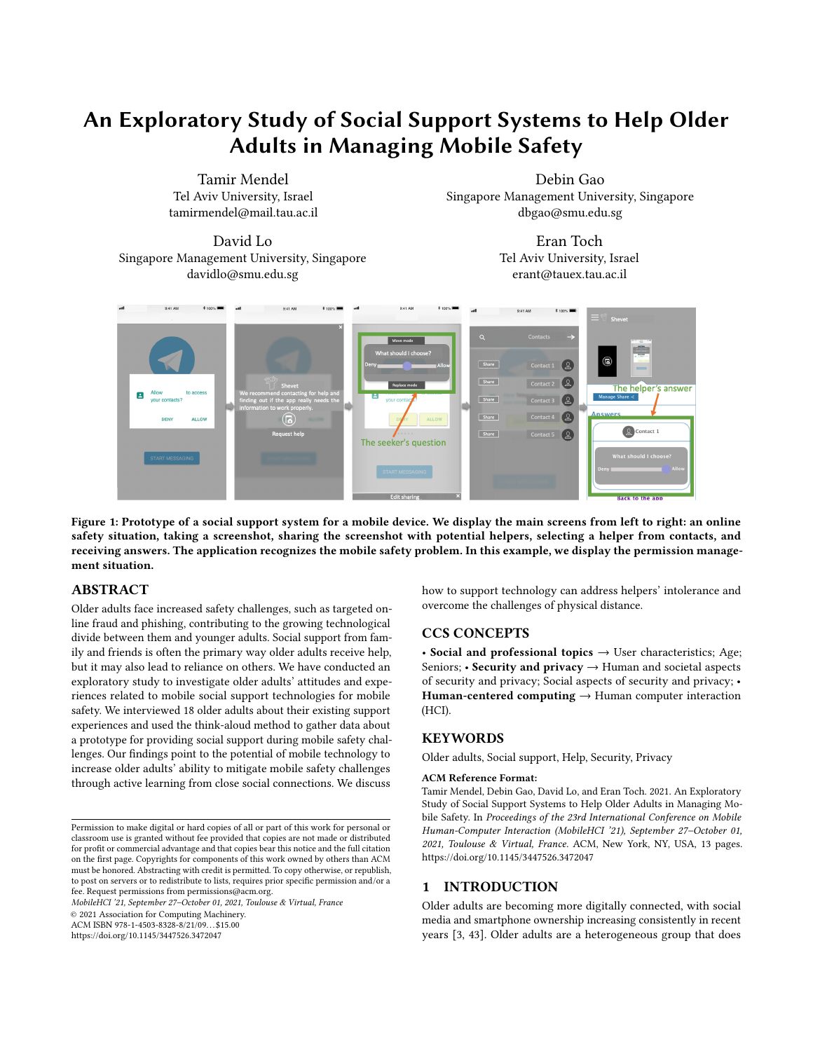children. They preferred a combination of a suggestion with a short explanation to understand and learn how to solve similar mobile safety problems independently. If they do not receive an explanation, they ask for it. Social support technologies can empower older adults to tackle mobile security and privacy challenges through intergenerational conversations and active learning. They also can address intolerance of helpers and communicate problems due to physical distance.

We rst discuss what we discovered about social support used by older adults for mobile safety challenges. Then, we re ect on the challenges of social support related to intergenerational impatience. Finally, we discuss the limitations of our study and future work.

## 6.1 Social Support and Empowerment

Our social support interactions analysis highlights how helpers, especially from younger generations, may benet from assisting with mobile safety situations. Support interactions provide opportunities for communication with older relatives. Social support is a convenient avenue for spurring more general conversations and can be seen as an opportunity to strengthen ties. Even more importantly, social support provides opportunities for intergenerational conversations that allow older adults to address technological norms that they deemed problematic. These intergenerational conversations may provide younger generations with a di erent perspective on new technologies' ethical and normative nature. Future work could extend the notion of intergenerational support to examine factors that motivate helpers and older adults to use the social support system.

One of the most critical aspects of social support is broader conversations about online safety. Prior studies show that conversations about security and privacy are primarily educational and are crucial for learning how to use new technology [2]. Our analysis shows that social support interactions had two essential elements for e cient support. First, unlike manuals, the instructions in social support are in language and jargon that older adults can understand. Support from close connections familiar with older adults' preferences allows older adults to learn in their language about online safety. Second, the conversations provided broader motivations explanations, and advice customized to the seeker's preferences and abilities. Overall, social support interactions provide help customized for older adults.

Social support systems have the potential to empower older adults and drive meaningful engagement in mobile safety challenges. We found that participants shared and alerted friends and family for mobile security and privacy, which re ected motivations to use social support and increase awareness. Moreover, most social life. We advertised and conducted interviews in person within participants were interested in receiving advice and explanations to learn online security. Explanation in understandable language about online safety can help them to learn and become independent smartphone users. While previous studies were not successful in proving older adults learning through social support \$44, our ndings point to the potential of a positive support pathway: experiences that start with social backing but increase the individual's learning.

#### 6.2 Intergenerational Impatience

While we document mainly positive aspects of social support, our ndings can understand how we can avoid several negative aspects. Participants felt frustrated by the cognitive limitations caused by age, such as impaired memory and forgetfulness, the slow pace of comprehension, and limited mental clarity. Our ndings support existing results that documented this kind of age-related frustration [40]. We extend the existing literature by providing the negative aspects when older adults use social support for mobile safety issues. Our participants felt that age-related limitations could cause intolerance in social support. The participants felt that helpers had little patience in assisting them because they asked the helper to explain slowly and did not remember the helper's explanation after a few days. Ageist stereotypes can hinder older adults' technology adoption. Cuddy et al. argue that ageism is pan-cultural and common even in more traditional societies, where respect for older people is considered a signi cant social value [0]. At the same time, we observed that our participants ask for deeper explanations to handle the problem independently in the future.

We found that many social support challenges are related to seekers and helpers' lack of physical closeness. Participants had di culties explaining the technical problem and understanding the helpers when participants were not physically close to the helper. The COVID-19 outbreak led to increased social isolation and directed older adults' social life online [8]. Therefore, helpers could not be physically close to older adults to help with mobile safety problems. It emphasizes the importance of helpers understanding and awareness of older adults' security and privacy preferences. When helpers know older adults' preferences, they have a better understanding of how to help. Additionally, helpers can leverage older adults' existing knowledge of other technologies they are familiar with and then bridge analogies to similar concepts in newer platforms.

Social support technology could help solve these challenges by using a mechanism and user interfaces to describe the situation to helpers and explain in understandable language based on older adults' preferences. Our study shows that older adults can use social support systems to address mobile safety problems. Participants described that they would prefer a short explanation, a combination of advice and explanation, to learn what to do the next time independently.

#### 6.3 Limitations

This study aimed to capture the understanding of older adults using social support in mobile safety situations. We conducted a convenience sample with independent older adults with an active our lab at the university, so most of our older adults in our sample are semiretired, which may provide them with a wide range of social connections, such as friends, coworkers, and family. We miss the population of older adults who need more support and have higher probabilities of living in assisted living facilities. Nevertheless, since we assume that our sample has a wide range of social connections, we can better understand o ine social support interactions and move them to online interactions. Further studies would have to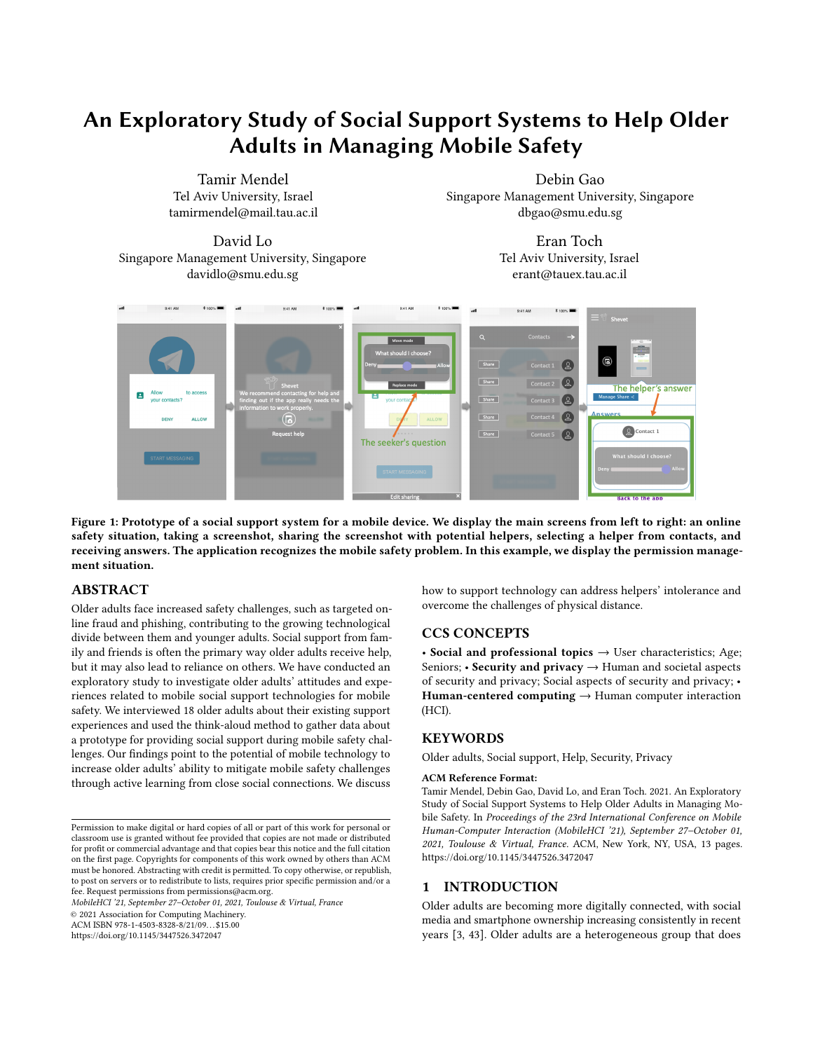be carried out with an older adults' heterogeneous population to generalize the results to the entire older adults' population.

Our sample of educated older adults is likely to become more common and representative in the coming years in other countries. Understanding how this sample learned and received support to use technology can help develop technology that eases the social support process of future models in other countries.

Importantly, culture is crucial in how older adults manage social relationships and their access to social support [ Most older people in Israel maintain a close connection with their children and proximity live close to at least one of their children, and most of them retain daily contact in person or by phone with their children [23]. Further studies should examine the assistance process for a variety of cultures. Moreover, in this paper, we have analyzed the [10] Amy J.C. Cuddy, Michael I. Norton, and Susan T. Fiske. 2005. This old stereotype: seekers' point of view. Future work could extend this research by collecting data from helpers and older adults to understand their interactions further.

## 7 CONCLUSIONS

This study conducted an exploratory study to investigate attitudes towards social support technologies helping older adults with security and privacy challenges. We interviewed and used the thinkaloud method to gather data about a prototype for providing social support during mobile safety challenges with 18 older adults. Seeking social support is a common strategy in overcoming mobile threats, and older adults often ask for support from their children. Support requests include opportunities for teachable moments that [16] may have a positive support pathway: experiences that start with social backing but increase the individual's self-e cacy. Intergenerational conversations allow older people to generate help and sometimes address technological norms deemed problematic. Older [18] adults requested explanations and advice in an understandable language without the tech jargon to learn from close connections. Social support technology may help older adults use their immediate social network most e ectively by addressing intolerance of helpers and communication problems due to physical distance.

## ACKNOWLEDGMENTS

This work was partially supported by the ICRC Blavatnik Interdisciplinary Cyber Research Center, grant number 590713, and by the Singapore National Research Foundation under the National [21] Satellite of Excellence in Mobile Systems Security and Cloud Security (NRF2018NCR-NSOE004-0001). We would also like to thank Eran Tromer and Shahar Maoz for their advice and feedback.

## REFERENCES

- [1] Age-UK. 2015. Only the tip of the iceberg: Fraud against older people We' re Age UK. Evid. Rev. April (2015).
- [2] Zaina Aljallad, Wentao Guo, Chhaya Chouhan, Christy Laperriere, Jess Kropczynski, Pamela Wisnewski, and Heather Lipford. 2019. Designing a Mobile Application to Support Social Processes for Privacy Decisions. February (2019), 112. DOI:https://doi.org/10.14722/usec.2019.23016
- [3] Monica Anderson and Andrew Perrin. 2017. Tech adoption climbs among older adults. Pew Res. Cent. May (2017), 122. Retrieved from http://www.pewinternet. org/2017/05/17/technology-use-among-seniors/
- [4] Linda Boise, Katherine Wild, Mattek Mattek, Mary Ruhl, Hiroko H. Dodge, and Je rey Kaye. 2013. Willingness of older adults to share data and privacy concerns after exposure to unobtrusive in-home monitoring. Gerontechnology 11, 3
- (January 2013), 428435. DOI:https://doi.org/10.4017/gt.2013.11.3.001.00 [5] Robin Brewer, Meredith Ringel Morris, and Anne Marie Piper. 2016. "Why would anybody do this?": Older adults' understanding of and experiences with crowd

work. Conf. Hum. Factors Comput. Syst. - Proc. (2016), 2246 2257. DOI:https: //doi.org/10.1145/2858036.2858198

- [6] Robin Brewer and Anne Marie Piper. 2016. "Tell it like it really is": A case of online content creation and sharing among older adult bloggers. Conf. Hum. Factors Comput. Syst. - Proc. (2016), 55295542. DOI:https://doi.org/10.1145/ 2858036.2858379
- [7] Ke Chen and Alan Hoi Shou Chan. 2013. Use or non-use of gerontechnology-A qualitative study. Int. J. Environ. Res. Public Health 10, 10 (2013), 4645 4666. DOI:https://doi.org/10.3390/ijerph10104645
- [8] Wen Hui Chou, Yu Ting Lai, and Kuang Hsia Liu. 2010. Decent digital social media for senior life: A practical design approach. Proc. - 2010 3rd IEEE Int. Conf. Comput. Sci. Inf. Technol. ICCSIT 2010 4, (2010), 249253. DOI:https: //doi.org/10.1109/ICCSIT.2010.5565189
- [9] Chhaya Chouhan, Christy M. Laperriere, Zaina Aljallad, Jess Kropczynski, Heather Lipford, and Pamela J. Wisniewski. 2019. Co-designing for community oversight: Helping people make privacy and security decisions together. Proc. ACM Human-Computer Interact. 3, CSCW (2019). DOI:https://doi.org/10. 1145/3359248
- The pervasiveness and persistence of the elderly stereotype. J. Soc. Issues 61, 2 (2005), 267285. DOI:https://doi.org/10.1111/j.1540-4560.2005.00405.x
- [11] L. Damodaran, C. W. Olphert, and J. Sandhu. 2014. Falling o the bandwagon? Exploring the challenges to sustained digital engagement by older people. Gerontology 60, 2 (2014), 163173. DOI:https://doi.org/10.1159/000357431
- [12] Sauvik Das, Ti any Hyun-Jin Kim, Laura A Dabbish, and Jason I Hong. 2014. The E ect of Social In uence on Security Sensitivity. SOUPS '14 Proc. Tenth Symp. Usable Priv. Secur. (2014), 143157. DOI:https://doi.org/10.1145/2660267.2660271
- [13] Thomas N. Friemel. 2016. The digital divide has grown old: Determinants of a digital divide among seniors. New Media Soc. 18, 2 (2016), 313331. DOI:https: //doi.org/10.1177/1461444814538648
- [14] Alisa Frik, Leysan Nurgalieva, Julia Bernd, Joyce S Lee, Florian Schaub, and Serge Egelman. 2019. Privacy and Security Threat Models and Mitigation Strategies of Older Adults. Symp. Usable Priv. Secur. (2019).
- [15] Philip J. Guo. 2017. Older adults learning computer programming: Motivations, frustrations, and design opportunities. Conf. Hum. Factors Comput. Syst. - Proc. 2017-May, (2017), 7070 7083. DOI:https://doi.org/10.1145/3025453.3025945
- Alexis Hope, Ted Schwaba, and Anne Marie Piper. 2014. Understanding digital and material social communications for older adults. Conf. Hum. Factors Comput. Syst. - Proc. (2014), 39033912. DOI:https://doi.org/10.1145/2556288.2557133
- [17] Je Huang and Michael B. Twidale. 2007. Graphstract: Minimal graphical help for computers. UIST Proc. Annu. ACM Symp. User Interface Softaware Technol. (2007), 203212. DOI:https://doi.org/10.1145/1294211.1294248
- Amanda Hunsaker, Minh Hao Nguyen, Jaelle Fuchs, Teodora Djukaric, Larissa Hugentobler, and Eszter Hargittai. 2019. "He Explained It to Me and I Also Did It Myself": How Older Adults Get Support with Their Technology Uses. Socius Sociol. Res. a Dyn. World 5, (January 2019), 237802311988786. DOI:https: //doi.org/10.1177/2378023119887866
- [19] Michal Isaacson, Ashwin Tripathi, Tannistha Samanta, Lisa D'ambrosio, and Joseph Coughlin. 2020. Giving voice to the environment as the silent partner in aging: Examining the moderating roles of gender and family structure in older adult wellbeing. Int. J. Environ. Res. Public Health 17, 12 (2020), 119. DOI:https://doi.org/10.3390/ijerph17124373
- [20] Jonathan Joe and George Demiris. 2013. Older adults and mobile phones for health: A review. J. Biomed. Inform. 46, 5 (2013), 947954. DOI:https://doi.org/10. 1016/j.jbi.2013.06.008
- Caitlin Kelleher and Randy Pausch. 2005. Stencils-based tutorials: Design and evaluation. CHI 2005 Technol. Safety, Community Conf. Proc. - Conf. Hum. Factors Comput. Syst. (2005), 541550.
- Jess Kropczynski, Zaina Aljallad, Nathan Je rey Elrod, Heather Lipford, and Pamela J Wisniewski. 2021. Towards Building Community Collective E cacy for Managing Digital Privacy and Security within Older Adult Communities. Proc. ACM Human-Computer Interact. 4, CSCW3 (January 2021), 127. DOI:https: //doi.org/10.1145/3432954
- [23] Yoav Lavee and Ruth Katz. 2003. The Family in Israel: Between Tradition and Modernity. Marriage Fam. Rev. 35, 12 (2003), 193217. DOI:https://doi.org/10. 1300/J002v35n01\_11
- [24] Rock Leung, Charlotte Tang, Shathel Haddad, Joanna McGrenere, Peter Graf, and Vilia Ingriany. 2012. How older adults learn to use mobile devices: Survey and eld investigations. ACM Trans. Access. Comput. 4, 3 (2012). DOI:https: //doi.org/10.1145/2399193.2399195
- [25] Carol C McDonough. 2016. The E ect of Ageism on the Digital Divide Among Older Adults. Gerontol. Geriatr. Med. 2, 1 (2016), 17. DOI:https://doi.org/10. 24966/ggm-8662/100008
- [26] Andrew McNeill, Pam Briggs, Jake Pywell, and Lynne Coventry. 2017. Functional privacy concerns of older adults about pervasive health-monitoring systems. ACM Int. Conf. Proceeding Ser. Part F128530, (2017), 96102. DOI:https://doi.org/ 10.1145/3056540.3056559